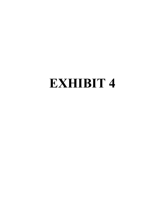# **EXHIBIT 4**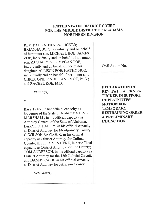#### **UNITED STATES DISTRICT COURT** FOR THE MIDDLE DISTRICT OF ALABAMA **NORTHERN DIVISION**

REV. PAUL A. EKNES-TUCKER: BRIANNA BOE, individually and on behalf of her minor son, MICHAEL BOE; JAMES ZOE, individually and on behalf of his minor son, ZACHARY ZOE; MEGAN POE, individually and on behalf of her minor daughter, ALLISON POE; KATHY NOE, individually and on behalf of her minor son, CHRISTOPHER NOE; JANE MOE, Ph.D.; and RACHEL KOE, M.D.

Plaintiffs,

V.

KAY IVEY, in her official capacity as Governor of the State of Alabama; STEVE MARSHALL, in his official capacity as Attorney General of the State of Alabama; DARYL D. BAILEY, in his official capacity as District Attorney for Montgomery County; C. WILSON BAYLOCK, in his official capacity as District Attorney for Cullman County; JESSICA VENTIERE, in her official capacity as District Attorney for Lee County; TOM ANDERSON, in his official capacity as District Attorney for the 12th Judicial Circuit; and DANNY CARR, in his official capacity as District Attorney for Jefferson County.

Defendants.

Civil Action No.

**DECLARATION OF REV. PAUL A. EKNES-TUCKER IN SUPPORT OF PLAINTIFFS' MOTION FOR TEMPORARY RESTRAINING ORDER & PRELIMINARY INJUNCTION**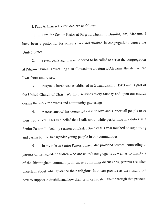I, Paul A. Eknes-Tucker, declare as follows:

I am the Senior Pastor at Pilgrim Church in Birmingham, Alabama. I  $1.$ have been a pastor for forty-five years and worked in congregations across the **United States.** 

Seven years ago, I was honored to be called to serve the congregation 2. at Pilgrim Church. This calling also allowed me to return to Alabama, the state where I was born and raised.

Pilgrim Church was established in Birmingham in 1903 and is part of  $3<sub>1</sub>$ the United Church of Christ. We hold services every Sunday and open our church during the week for events and community gatherings.

A core tenet of this congregation is to love and support all people to be  $\overline{4}$ . their true selves. This is a belief that I talk about while performing my duties as a Senior Pastor. In fact, my sermon on Easter Sunday this year touched on supporting and caring for the transgender young people in our communities.

In my role as Senior Pastor, I have also provided pastoral counseling to  $5<sub>1</sub>$ parents of transgender children who are church congregants as well as to members of the Birmingham community. In those counseling discussions, parents are often uncertain about what guidance their religious faith can provide as they figure out how to support their child and how their faith can sustain them through that process.

 $\mathbf{2}$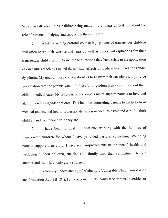We often talk about their children being made in the image of God and about the role of parents in helping and supporting their children.

While providing pastoral counseling, parents of transgender children 6. will often share their worries and fears as well as hopes and aspirations for their transgender child's future. Some of the questions they have relate to the application of our faith's teachings to and the spiritual effects of medical treatments for gender dysphoria. My goal in those conversations is to answer their questions and provide information that the parents would find useful in guiding their decisions about their child's medical care. My religious faith compels me to support parents to love and affirm their transgender children. This includes counseling parents to get help from medical and mental health professionals, when needed, to assist and care for their children and to embrace who they are.

I have been fortunate to continue working with the families of  $7<sub>1</sub>$ transgender children for whom I have provided pastoral counseling. Watching parents support their child, I have seen improvements in the mental health and wellbeing of their children, but also as a family unit; their commitment to one another and their faith only grew stronger.

Given my understanding of Alabama's Vulnerable Child Compassion 8. and Protection Act (SB 184), I am concerned that I could face criminal penalties or

 $\mathfrak{Z}$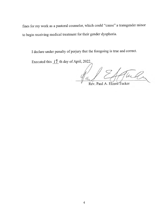fines for my work as a pastoral counselor, which could "cause" a transgender minor to begin receiving medical treatment for their gender dysphoria.

I declare under penalty of perjury that the foregoing is true and correct.

Executed this  $17$  th day of April, 2022.

UL 41

Rév. Paul A. Eknes-Tucker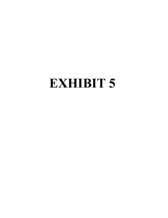# **EXHIBIT 5**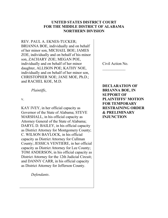#### **UNITED STATES DISTRICT COURT FOR THE MIDDLE DISTRICT OF ALABAMA NORTHERN DIVISION**

REV. PAUL A. EKNES-TUCKER; BRIANNA BOE, individually and on behalf of her minor son, MICHAEL BOE; JAMES ZOE, individually and on behalf of his minor son, ZACHARY ZOE; MEGAN POE, individually and on behalf of her minor daughter, ALLISON POE; KATHY NOE, individually and on behalf of her minor son, CHRISTOPHER NOE; JANE MOE, Ph.D.; and RACHEL KOE, M.D.

*Plaintiffs*,

v.

KAY IVEY, in her official capacity as Governor of the State of Alabama; STEVE MARSHALL, in his official capacity as Attorney General of the State of Alabama; DARYL D. BAILEY, in his official capacity as District Attorney for Montgomery County; C. WILSON BAYLOCK, in his official capacity as District Attorney for Cullman County; JESSICA VENTIERE, in her official capacity as District Attorney for Lee County; TOM ANDERSON, in his official capacity as District Attorney for the 12th Judicial Circuit; and DANNY CARR, in his official capacity as District Attorney for Jefferson County.

*Defendants*.

Civil Action No.  $\frac{1}{2}$ 

**DECLARATION OF BRIANNA BOE, IN SUPPORT OF**  PLAINTIFFS' MOTION **FOR TEMPORARY RESTRAINING ORDER & PRELIMINARY INJUNCTION**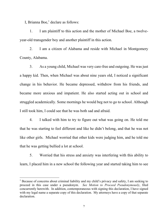I, Brianna Boe, $<sup>1</sup>$  declare as follows:</sup>

1. I am plaintiff to this action and the mother of Michael Boe, a twelveyear-old transgender boy and another plaintiff in this action.

2. I am a citizen of Alabama and reside with Michael in Montgomery County, Alabama.

3. As a young child, Michael was very care-free and outgoing. He was just a happy kid. Then, when Michael was about nine years old, I noticed a significant change in his behavior. He became depressed, withdrew from his friends, and became more anxious and impatient. He also started acting out in school and struggled academically. Some mornings he would beg not to go to school. Although I still took him, I could see that he was both sad and afraid.

4. I talked with him to try to figure out what was going on. He told me that he was starting to feel different and like he didn't belong, and that he was not like other girls. Michael worried that other kids were judging him, and he told me that he was getting bullied a lot at school.

5. Worried that his stress and anxiety was interfering with this ability to learn, I placed him in a new school the following year and started taking him to see

<sup>&</sup>lt;sup>1</sup> Because of concerns about criminal liability and my child's privacy and safety, I am seeking to proceed in this case under a pseudonym. *See Motion to Proceed Pseudonymously*, filed concurrently herewith. In addition, contemporaneous with signing this declaration, I have signed with my legal name a separate copy of this declaration. My attorneys have a copy of that separate declaration.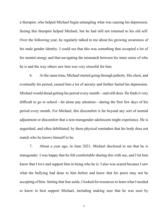a therapist, who helped Michael begin untangling what was causing his depression. Seeing this therapist helped Michael, but he had still not returned to his old self. Over the following year, he regularly talked to me about his growing awareness of his male gender identity. I could see that this was something that occupied a lot of his mental energy and that navigating the mismatch between his inner sense of who he is and the way others saw him was very stressful for him.

6. At the same time, Michael started going through puberty. His chest, and eventually his period, caused him a lot of anxiety and further fueled his depression. Michael would dread getting his period every month—and still does. He finds it very difficult to go to school—let alone pay attention—during the first few days of his period every month. For Michael, this discomfort is far beyond any sort of normal adjustment or discomfort that a non-transgender adolescent might experience. He is anguished, and often debilitated, by these physical reminders that his body does not match who he knows himself to be.

7. About a year ago, in June 2021, Michael disclosed to me that he is transgender. I was happy that he felt comfortable sharing this with me, and I let him know that I love and support him in being who he is. I also was scared because I saw what the bullying had done to him before and knew that his peers may not be accepting of him. Setting that fear aside, I looked for resources to learn what I needed to know to best support Michael, including making sure that he was seen by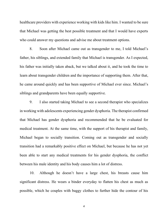healthcare providers with experience working with kids like him. I wanted to be sure that Michael was getting the best possible treatment and that I would have experts who could answer my questions and advise me about treatment options.

8. Soon after Michael came out as transgender to me, I told Michael's father, his siblings, and extended family that Michael is transgender. As I expected, his father was initially taken aback, but we talked about it, and he took the time to learn about transgender children and the importance of supporting them. After that, he came around quickly and has been supportive of Michael ever since. Michael's siblings and grandparents have been equally supportive.

9. I also started taking Michael to see a second therapist who specializes in working with adolescents experiencing gender dysphoria. The therapist confirmed that Michael has gender dysphoria and recommended that he be evaluated for medical treatment. At the same time, with the support of his therapist and family, Michael began to socially transition. Coming out as transgender and socially transition had a remarkably positive effect on Michael, but because he has not yet been able to start any medical treatments for his gender dysphoria, the conflict between his male identity and his body causes him a lot of distress.

10. Although he doesn't have a large chest, his breasts cause him significant distress. He wears a binder everyday to flatten his chest as much as possible, which he couples with baggy clothes to further hide the contour of his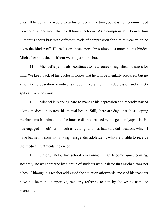chest. If he could, he would wear his binder all the time, but it is not recommended to wear a binder more than 8-10 hours each day. As a compromise, I bought him numerous sports bras with different levels of compression for him to wear when he takes the binder off. He relies on those sports bras almost as much as his binder. Michael cannot sleep without wearing a sports bra.

11. Michael's period also continues to be a source of significant distress for him. We keep track of his cycles in hopes that he will be mentally prepared, but no amount of preparation or notice is enough. Every month his depression and anxiety spikes, like clockwork.

12. Michael is working hard to manage his depression and recently started taking medication to treat his mental health. Still, there are days that those coping mechanisms fail him due to the intense distress caused by his gender dysphoria. He has engaged in self-harm, such as cutting, and has had suicidal ideation, which I have learned is common among transgender adolescents who are unable to receive the medical treatments they need.

13. Unfortunately, his school environment has become unwelcoming. Recently, he was cornered by a group of students who insisted that Michael was not a boy. Although his teacher addressed the situation afterwards, most of his teachers have not been that supportive, regularly referring to him by the wrong name or pronouns.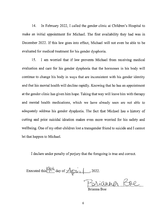14. In February 2022, I called the gender clinic at Children's Hospital to make an initial appointment for Michael. The first availability they had was in December 2022. If this law goes into effect, Michael will not even be able to be evaluated for medical treatment for his gender dysphoria.

15. I am worried that if law prevents Michael from receiving medical evaluation and care for his gender dysphoria that the hormones in his body will continue to change his body in ways that are inconsistent with his gender identity and that his mental health will decline rapidly. Knowing that he has an appointment at the gender clinic has given him hope. Taking that way will leave him with therapy and mental health medications, which we have already seen are not able to adequately address his gender dysphoria. The fact that Michael has a history of cutting and prior suicidal ideation makes even more worried for his safety and wellbeing. One of my other children lost a transgender friend to suicide and I cannot let that happen to Michael.

I declare under penalty of perjury that the foregoing is true and correct.

Executed this  $Q_1 h$  day of  $A_1 p$  . 2022.

<u>rianna Roe</u>

Brianna Boe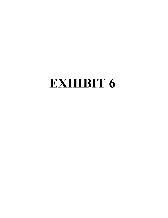# EXHIBIT 6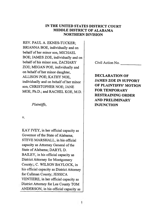#### IN THE UNITED STATES DISTRICT COURT **MIDDLE DISTRICT OF ALABAMA NORTHERN DIVISION**

REV. PAUL A. EKNES-TUCKER: BRIANNA BOE, individually and on behalf of her minor son, MICHAEL BOE; JAMES ZOE, individually and on behalf of his minor son, ZACHARY ZOE; MEGAN POE, individually and on behalf of her minor daughter, ALLISON POE; KATHY NOE, individually and on behalf of her minor son, CHRISTOPHER NOE; JANE MOE, Ph.D.; and RACHEL KOE, M.D.

Plaintiffs,

V.

KAY IVEY, in her official capacity as Governor of the State of Alabama; STEVE MARSHALL, in his official capacity as Attorney General of the State of Alabama; DARYL D. BAILEY, in his official capacity as **District Attorney for Montgomery** County;; C. WILSON BAYLOCK, in his official capacity as District Attorney for Cullman County; JESSICA VENTIERE, in her official capacity as District Attorney for Lee County TOM ANDERSON, in his official capacity as

Civil Action No.

**DECLARATION OF JAMES ZOE IN SUPPORT** OF PLAINTIFFS' MOTION **FOR TEMPORARY RESTRAINING ORDER AND PRELIMINARY INJUNCTION**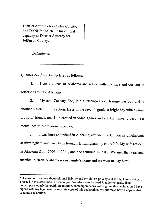District Attorney for Coffee County: and DANNY CARR, in his official capacity as District Attorney for Jefferson County.

Defendants.

I, James Zoe,<sup>1</sup> hereby declares as follows:

I am a citizen of Alabama and reside with my wife and our son in  $1.$ Jefferson County, Alabama.

My son, Zachary Zoe, is a thirteen-year-old transgender boy and is  $2.$ another plaintiff in this action. He is in the seventh grade, a bright boy with a close group of friends, and is interested in video games and art. He hopes to become a mental health professional one day.

I was born and raised in Alabama, attended the University of Alabama  $3.$ at Birmingham, and have been living in Birmingham my entire life. My wife resided in Alabama from 2009 to 2011, and she returned in 2018. We met that year and married in 2020. Alabama is our family's home and we want to stay here.

<sup>&</sup>lt;sup>1</sup> Because of concerns about criminal liability and my child's privacy and safety, I am seeking to proceed in this case under a pseudonym. See Motion to Proceed Pseudonymously, filed contemporaneously herewith. In addition, contemporaneous with signing this declaration, I have signed with my legal name a separate copy of this declaration. My attorneys have a copy of that separate declaration.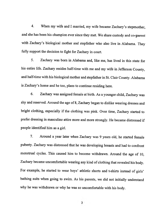When my wife and I married, my wife became Zachary's stepmother, 4. and she has been his champion ever since they met. We share custody and co-parent with Zachary's biological mother and stepfather who also live in Alabama. They fully support the decision to fight for Zachary in court.

5. Zachary was born in Alabama and, like me, has lived in this state for his entire life. Zachary resides half-time with me and my wife in Jefferson County, and half-time with his biological mother and stepfather in St. Clair County. Alabama is Zachary's home and he too, plans to continue residing here.

6. Zachary was assigned female at birth. As a younger child, Zachary was shy and reserved. Around the age of 8, Zachary began to dislike wearing dresses and bright clothing, especially if the clothing was pink. Over time, Zachary started to prefer dressing in masculine attire more and more strongly. He became distressed if people identified him as a girl.

 $7.$ Around a year later when Zachary was 9 years old, he started female puberty. Zachary was distressed that he was developing breasts and had to confront menstrual cycles. This caused him to become withdrawn. Around the age of 10, Zachary became uncomfortable wearing any kind of clothing that revealed his body. For example, he started to wear boys' athletic shorts and t-shirts instead of girls' bathing suits when going to swim. As his parents, we did not initially understand why he was withdrawn or why he was so uncomfortable with his body.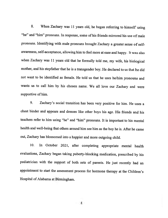When Zachary was 11 years old, he began referring to himself using 8. "he" and "him" pronouns. In response, some of his friends mirrored his use of male pronouns. Identifying with male pronouns brought Zachary a greater sense of selfawareness, self-acceptance, allowing him to feel more at ease and happy. It was also when Zachary was 11 years old that he formally told me, my wife, his biological mother, and his stepfather that he is a transgender boy. He declared to us that he did not want to be identified as female. He told us that he uses he/him pronouns and wants us to call him by his chosen name. We all love our Zachary and were supportive of him.

Zachary's social transition has been very positive for him. He uses a  $9<sub>1</sub>$ chest binder and appears and dresses like other boys his age. His friends and his teachers refer to him using "he" and "him" pronouns. It is important to his mental health and well-being that others around him see him as the boy he is. After he came out, Zachary has blossomed into a happier and more outgoing child.

In October 2021, after completing appropriate mental health 10. evaluations, Zachary began taking puberty-blocking medication, prescribed by his pediatrician with the support of both sets of parents. He just recently had an appointment to start the assessment process for hormone therapy at the Children's Hospital of Alabama at Birmingham.

 $\frac{4}{3}$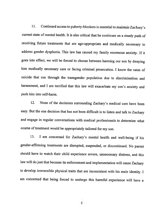$11.$ Continued access to puberty-blockers is essential to maintain Zachary's current state of mental health. It is also critical that he continues on a steady path of receiving future treatments that are age-appropriate and medically necessary to address gender dysphoria. This law has caused my family enormous anxiety. If it goes into effect, we will be forced to choose between harming our son by denying him medically necessary care or facing criminal prosecution. I know the rates of suicide that run through the transgender population due to discrimination and harassment, and I am terrified that this law will exacerbate my son's anxiety and push him into self-harm.

None of the decisions surrounding Zachary's medical care have been  $12.$ easy. But the one decision that has not been difficult is to listen and talk to Zachary and engage in regular conversations with medical professionals to determine what course of treatment would be appropriately tailored for my son.

I am concerned for Zachary's mental health and well-being if his 13. gender-affirming treatments are disrupted, suspended, or discontinued. No parent should have to watch their child experience severe, unnecessary distress, and this law will do just that because its enforcement and implementation will cause Zachary to develop irreversible physical traits that are inconsistent with his male identity. I am concerned that being forced to undergo this harmful experience will have a

 $5<sup>5</sup>$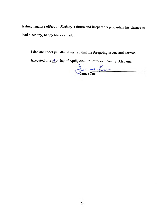lasting negative effect on Zachary's future and irreparably jeopardize his chance to lead a healthy, happy life as an adult.

I declare under penalty of perjury that the foregoing is true and correct.

Executed this IIth day of April, 2022 in Jefferson County, Alabama.

Janes 200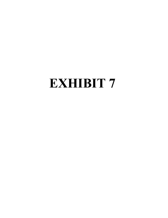# **EXHIBIT**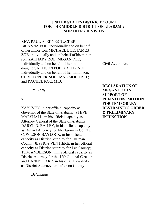#### **UNITED STATES DISTRICT COURT FOR THE MIDDLE DISTRICT OF ALABAMA NORTHERN DIVISION**

REV. PAUL A. EKNES-TUCKER; BRIANNA BOE, individually and on behalf of her minor son, MICHAEL BOE; JAMES ZOE, individually and on behalf of his minor son, ZACHARY ZOE; MEGAN POE, individually and on behalf of her minor daughter, ALLISON POE; KATHY NOE, individually and on behalf of her minor son, CHRISTOPHER NOE; JANE MOE, Ph.D.; and RACHEL KOE, M.D.

*Plaintiffs*,

v.

KAY IVEY, in her official capacity as Governor of the State of Alabama; STEVE MARSHALL, in his official capacity as Attorney General of the State of Alabama; DARYL D. BAILEY, in his official capacity as District Attorney for Montgomery County; C. WILSON BAYLOCK, in his official capacity as District Attorney for Cullman County; JESSICA VENTIERE, in her official capacity as District Attorney for Lee County; TOM ANDERSON, in his official capacity as District Attorney for the 12th Judicial Circuit; and DANNY CARR, in his official capacity as District Attorney for Jefferson County.

*Defendants*.

Civil Action No.  $\frac{1}{2}$ 

**DECLARATION OF MEGAN POE IN SUPPORT OF PLAINTIFFS' MOTION FOR TEMPORARY RESTRAINING ORDER & PRELIMINARY INJUNCTION**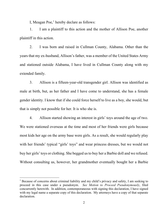I, Meagan Poe,<sup>1</sup> hereby declare as follows:

1. I am a plaintiff to this action and the mother of Allison Poe, another plaintiff in this action.

2. I was born and raised in Cullman County, Alabama. Other than the years that my ex-husband, Allison's father, was a member of the United States Army and stationed outside Alabama, I have lived in Cullman County along with my extended family.

3. Allison is a fifteen-year-old transgender girl. Allison was identified as male at birth, but, as her father and I have come to understand, she has a female gender identity. I know that if she could force herself to live as a boy, she would, but that is simply not possible for her. It is who she is.

4. Allison started showing an interest in girls' toys around the age of two. We were stationed overseas at the time and most of her friends were girls because most kids her age on the army base were girls. As a result, she would regularly play with her friends' typical "girls' toys" and wear princess dresses, but we would not buy her girls' toys or clothing. She begged us to buy her a Barbie doll and we refused. Without consulting us, however, her grandmother eventually bought her a Barbie

<sup>&</sup>lt;sup>1</sup> Because of concerns about criminal liability and my child's privacy and safety, I am seeking to proceed in this case under a pseudonym. *See Motion to Proceed Pseudonymously*, filed concurrently herewith. In addition, contemporaneous with signing this declaration, I have signed with my legal name a separate copy of this declaration. My attorneys have a copy of that separate declaration.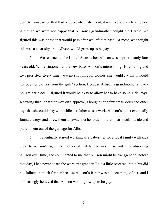doll. Allison carried that Barbie everywhere she went; it was like a teddy bear to her. Although we were not happy that Allison's grandmother bought the Barbie, we figured this was phase that would pass after we left that base. At most, we thought this was a clear sign that Allison would grow up to be gay.

5. We returned to the United States when Allison was approximately four years old. While stationed at the new base, Allison's interest in girls' clothing and toys persisted. Every time we went shopping for clothes, she would cry that I would not buy her clothes from the girls' section. Because Allison's grandmother already bought her a doll, I figured it would be okay to allow her to have some girls' toys. Knowing that her father wouldn't approve, I bought her a few small dolls and other toys that she could play with while her father was at work. Allison's father eventually found the toys and threw them all away, but her older brother then snuck outside and pulled them out of the garbage for Allison.

6. I eventually started working as a babysitter for a local family with kids close to Allison's age. The mother of that family was nurse and after observing Allison over time, she commented to me that Allison might be transgender. Before that day, I had never heard the word transgender. I did a little research into it but did not follow up much further because Allison's father was not accepting of her, and I still strongly believed that Allison would grow up to be gay.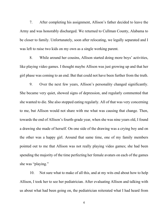7. After completing his assignment, Allison's father decided to leave the Army and was honorably discharged. We returned to Cullman County, Alabama to be closer to family. Unfortunately, soon after relocating, we legally separated and I was left to raise two kids on my own as a single working parent.

8. While around her cousins, Allison started doing more boys' activities, like playing video games. I thought maybe Allison was just growing up and that her girl phase was coming to an end. But that could not have been further from the truth.

9. Over the next few years, Allison's personality changed significantly. She became very quiet, showed signs of depression, and regularly commented that she wanted to die. She also stopped eating regularly. All of that was very concerning to me, but Allison would not share with me what was causing that change. Then, towards the end of Allison's fourth-grade year, when she was nine years old, I found a drawing she made of herself. On one side of the drawing was a crying boy and on the other was a happy girl. Around that same time, one of my family members pointed out to me that Allison was not really playing video games; she had been spending the majority of the time perfecting her female avatars on each of the games she was "playing."

10. Not sure what to make of all this, and at my wits end about how to help Allison, I took her to see her pediatrician. After evaluating Allison and talking with us about what had been going on, the pediatrician reiterated what I had heard from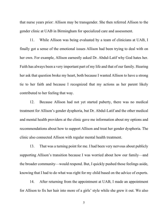that nurse years prior: Allison may be transgender. She then referred Allison to the gender clinic at UAB in Birmingham for specialized care and assessment.

11. While Allison was being evaluated by a team of clinicians at UAB, I finally got a sense of the emotional issues Allison had been trying to deal with on her own. For example, Allison earnestly asked Dr. Abdul-Latif why God hates her. Faith has always been a very important part of my life and that of our family. Hearing her ask that question broke my heart, both because I wanted Allison to have a strong tie to her faith and because I recognized that my actions as her parent likely contributed to her feeling that way.

12. Because Allison had not yet started puberty, there was no medical treatment for Allison's gender dysphoria, but Dr. Abdul-Latif and the other medical and mental health providers at the clinic gave me information about my options and recommendations about how to support Allison and treat her gender dysphoria. The clinic also connected Allison with regular mental health treatment.

13. That was a turning point for me. I had been very nervous about publicly supporting Allison's transition because I was worried about how our family—and the broader community—would respond. But, I quickly pushed those feelings aside, knowing that I had to do what was right for my child based on the advice of experts.

14. After returning from the appointment at UAB, I made an appointment for Allison to fix her hair into more of a girls' style while she grew it out. We also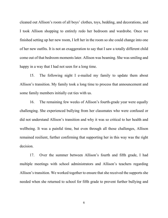cleaned out Allison's room of all boys' clothes, toys, bedding, and decorations, and I took Allison shopping to entirely redo her bedroom and wardrobe. Once we finished setting up her new room, I left her in the room so she could change into one of her new outfits. It is not an exaggeration to say that I saw a totally different child come out of that bedroom moments later. Allison was beaming. She was smiling and happy in a way that I had not seen for a long time.

15. The following night I e-mailed my family to update them about Allison's transition. My family took a long time to process that announcement and some family members initially cut ties with us.

16. The remaining few weeks of Allison's fourth-grade year were equally challenging. She experienced bullying from her classmates who were confused or did not understand Allison's transition and why it was so critical to her health and wellbeing. It was a painful time, but even through all those challenges, Allison remained resilient, further confirming that supporting her in this way was the right decision.

17. Over the summer between Allison's fourth and fifth grade, I had multiple meetings with school administrators and Allison's teachers regarding Allison's transition. We worked together to ensure that she received the supports she needed when she returned to school for fifth grade to prevent further bullying and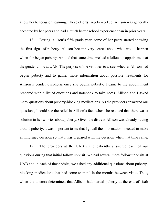allow her to focus on learning. Those efforts largely worked; Allison was generally accepted by her peers and had a much better school experience than in prior years.

18. During Allison's fifth-grade year, some of her peers started showing the first signs of puberty. Allison became very scared about what would happen when she began puberty. Around that same time, we had a follow up appointment at the gender clinic at UAB. The purpose of the visit was to assess whether Allison had begun puberty and to gather more information about possible treatments for Allison's gender dysphoria once she begins puberty. I came to the appointment prepared with a list of questions and notebook to take notes. Allison and I asked many questions about puberty-blocking medications. As the providers answered our questions, I could see the relief in Allison's face when she realized that there was a solution to her worries about puberty. Given the distress Allison was already having around puberty, it was important to me that I got all the information I needed to make an informed decision so that I was prepared with my decision when that time came.

19. The providers at the UAB clinic patiently answered each of our questions during that initial follow up visit. We had several more follow up visits at UAB and in each of those visits, we asked any additional questions about pubertyblocking medications that had come to mind in the months between visits. Thus, when the doctors determined that Allison had started puberty at the end of sixth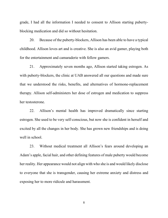grade, I had all the information I needed to consent to Allison starting pubertyblocking medication and did so without hesitation.

20. Because of the puberty-blockers, Allison has been able to have a typical childhood. Allison loves art and is creative. She is also an avid gamer, playing both for the entertainment and camaraderie with fellow gamers.

21. Approximately seven months ago, Allison started taking estrogen. As with puberty-blockers, the clinic at UAB answered all our questions and made sure that we understood the risks, benefits, and alternatives of hormone-replacement therapy. Allison self-administers her dose of estrogen and medication to suppress her testosterone.

22. Allison's mental health has improved dramatically since starting estrogen. She used to be very self-conscious, but now she is confident in herself and excited by all the changes in her body. She has grown new friendships and is doing well in school.

23. Without medical treatment all Allison's fears around developing an Adam's apple, facial hair, and other defining features of male puberty would become her reality. Her appearance would not align with who she is and would likely disclose to everyone that she is transgender, causing her extreme anxiety and distress and exposing her to more ridicule and harassment.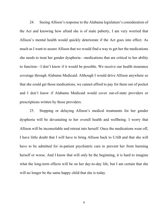24. Seeing Allison's response to the Alabama legislature's consideration of the Act and knowing how afraid she is of male puberty, I am very worried that Allison's mental health would quickly deteriorate if the Act goes into effect. As much as I want to assure Allison that we would find a way to get her the medications she needs to treat her gender dysphoria—medications that are critical to her ability to function—I don't know if it would be possible. We receive our health insurance coverage through Alabama Medicaid. Although I would drive Allison anywhere so that she could get those medications, we cannot afford to pay for them out of pocket and I don't know if Alabama Medicaid would cover out-of-state providers or prescriptions written by those providers.

25. Stopping or delaying Allison's medical treatments for her gender dysphoria will be devastating to her overall health and wellbeing. I worry that Allison will be inconsolable and retreat into herself. Once the medications wear off, I have little doubt that I will have to bring Allison back to UAB and that she will have to be admitted for in-patient psychiatric care to prevent her from harming herself or worse. And I know that will only be the beginning, it is hard to imagine what the long-term effects will be on her day-to-day life, but I am certain that she will no longer be the same happy child that she is today.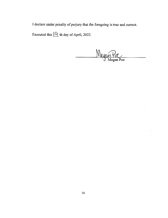I declare under penalty of perjury that the foregoing is true and correct.

Executed this  $\underline{\mathsf{O}}$  th day of April, 2022.

egan Poe

 $\mathcal{L}^{\text{max}}_{\text{max}}$  and  $\mathcal{L}^{\text{max}}_{\text{max}}$ 

 $\sim$ 

 $\cdot$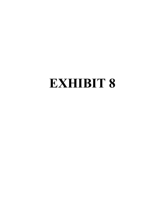# **EXHIBIT**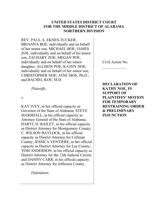#### **UNITED STATES DISTRICT COURT FOR THE MIDDLE DISTRICT OF ALABAMA NORTHERN DIVISION**

REV. PAUL A. EKNES-TUCKER; BRIANNA BOE, individually and on behalf of her minor son, MICHAEL BOE; JAMES ZOE, individually and on behalf of his minor son, ZACHARY ZOE; MEGAN POE, individually and on behalf of her minor daughter, ALLISON POE; KATHY NOE, individually and on behalf of her minor son, CHRISTOPHER NOE; JANE MOE, Ph.D.; and RACHEL KOE, M.D.

*Plaintiffs*,

v.

KAY IVEY, in her official capacity as Governor of the State of Alabama; STEVE MARSHALL, in his official capacity as Attorney General of the State of Alabama; DARYL D. BAILEY, in his official capacity as District Attorney for Montgomery County; C. WILSON BAYLOCK, in his official capacity as District Attorney for Cullman County; JESSICA VENTIERE, in her official capacity as District Attorney for Lee County; TOM ANDERSON, in his official capacity as District Attorney for the 12th Judicial Circuit; and DANNY CARR, in his official capacity as District Attorney for Jefferson County.

*Defendants*.

Civil Action No.  $\frac{1}{2}$ 

**DECLARATION OF KATHY NOE, IN SUPPORT OF PLAINTIFFS' MOTION FOR TEMPORARY RESTRAINING ORDER & PRELIMINARY INJUNCTION**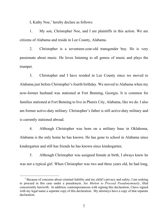I, Kathy Noe, <sup>1</sup> hereby declare as follows:

1. My son, Christopher Noe, and I are plaintiffs in this action. We are citizens of Alabama and reside in Lee County, Alabama.

2. Christopher is a seventeen-year-old transgender boy. He is very passionate about music. He loves listening to all genres of music and plays the trumpet.

3. Christopher and I have resided in Lee County since we moved to Alabama just before Christopher's fourth birthday. We moved to Alabama when my now-former husband was stationed at Fort Benning, Georgia. It is common for families stationed at Fort Benning to live in Phenix City, Alabama, like we do. I also am former active-duty military. Christopher's father is still active-duty military and is currently stationed abroad.

4. Although Christopher was born on a military base in Oklahoma, Alabama is the only home he has known. He has gone to school in Alabama since kindergarten and still has friends he has known since kindergarten.

5. Although Christopher was assigned female at birth, I always knew he was not a typical girl. When Christopher was two and three years old, he had long,

<sup>&</sup>lt;sup>1</sup> Because of concerns about criminal liability and my child's privacy and safety, I am seeking to proceed in this case under a pseudonym. *See Motion to Proceed Pseudonymously*, filed concurrently herewith. In addition, contemporaneous with signing this declaration, I have signed with my legal name a separate copy of this declaration. My attorneys have a copy of that separate declaration.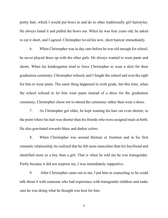pretty hair, which I would put bows in and do in other traditionally girl hairstyles. He always hated it and pulled the bows out. When he was four years old, he asked to cut it short, and I agreed. Christopher loved his new, short haircut immediately.

6. When Christopher was in day care before he was old enough for school, he never played dress up with the other girls. He always wanted to wear pants and shorts. When his kindergarten tried to force Christopher to wear a skirt for their graduation ceremony, Christopher refused, and I fought the school and won the right for him to wear pants. The same thing happened in sixth grade, but this time, when the school refused to let him wear pants instead of a dress for the graduation ceremony, Christopher chose not to attend the ceremony rather than wear a dress.

7. As Christopher got older, he kept wanting his hair cut even shorter, to the point where his hair was shorter than his friends who were assigned male at birth. He also gravitated towards blues and darker colors.

8. When Christopher was around thirteen or fourteen and in his first romantic relationship, he realized that he felt more masculine than his boyfriend and identified more as a boy than a girl. That is when he told me he was transgender. Partly because it did not surprise me, I was immediately supportive.

9. After Christopher came out to me, I put him in counseling so he could talk about it with someone who had experience with transgender children and make sure he was doing what he thought was best for him.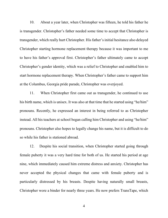10. About a year later, when Christopher was fifteen, he told his father he is transgender. Christopher's father needed some time to accept that Christopher is transgender, which really hurt Christopher. His father's initial hesitance also delayed Christopher starting hormone replacement therapy because it was important to me to have his father's approval first. Christopher's father ultimately came to accept Christopher's gender identity, which was a relief to Christopher and enabled him to start hormone replacement therapy. When Christopher's father came to support him at the Columbus, Georgia pride parade, Christopher was overjoyed.

11. When Christopher first came out as transgender, he continued to use his birth name, which is unisex. It was also at that time that he started using "he/him" pronouns. Recently, he expressed an interest in being referred to as Christopher instead. All his teachers at school began calling him Christopher and using "he/him" pronouns. Christopher also hopes to legally change his name, but it is difficult to do so while his father is stationed abroad.

12. Despite his social transition, when Christopher started going through female puberty it was a very hard time for both of us. He started his period at age nine, which immediately caused him extreme distress and anxiety. Christopher has never accepted the physical changes that came with female puberty and is particularly distressed by his breasts. Despite having naturally small breasts, Christopher wore a binder for nearly three years. He now prefers TransTape, which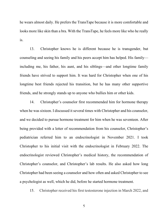he wears almost daily. He prefers the TransTape because it is more comfortable and looks more like skin than a bra. With the TransTape, he feels more like who he really is.

13. Christopher knows he is different because he is transgender, but counseling and seeing his family and his peers accept him has helped. His family including me, his father, his aunt, and his siblings—and other longtime family friends have strived to support him. It was hard for Christopher when one of his longtime best friends rejected his transition, but he has many other supportive friends, and he strongly stands up to anyone who bullies him or other kids.

14. Christopher's counselor first recommended him for hormone therapy when he was sixteen. I discussed it several times with Christopher and his counselor, and we decided to pursue hormone treatment for him when he was seventeen. After being provided with a letter of recommendation from his counselor, Christopher's pediatrician referred him to an endocrinologist in November 2021. I took Christopher to his initial visit with the endocrinologist in February 2022. The endocrinologist reviewed Christopher's medical history, the recommendation of Christopher's counselor, and Christopher's lab results. He also asked how long Christopher had been seeing a counselor and how often and asked Christopher to see a psychologist as well, which he did, before he started hormone treatment.

15. Christopher received his first testosterone injection in March 2022, and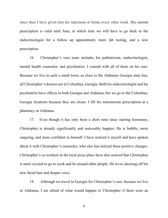since then I have given him his injections at home every other week. His current prescription is valid until June, at which time we will have to go back to the endocrinologist for a follow up appointment, more lab testing, and a new prescription.

16. Christopher's care team includes his pediatrician, endocrinologist, mental health counselor, and psychiatrist. I consult with all of them on his care. Because we live in such a small town, so close to the Alabama–Georgia state line, all Christopher's doctors are in Columbus, Georgia. Both his endocrinologist and his psychiatrist have offices in both Georgia and Alabama, but we go to the Columbus, Georgia locations because they are closer. I fill his testosterone prescription at a pharmacy in Alabama.

17. Even though it has only been a short time since starting hormones, Christopher is already significantly and noticeably happier. He is bubbly, more outgoing, and more confident in himself. I have noticed it myself and have spoken about it with Christopher's counselor, who also has noticed these positive changes. Christopher's co-workers at the local pizza place have also noticed that Christopher is more excited to go to work and be around other people. He loves showing off his new facial hair and deeper voice.

18. Although we travel to Georgia for Christopher's care, because we live in Alabama, I am afraid of what would happen to Christopher if there were an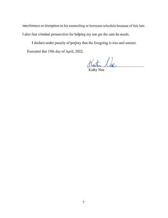interference or disruption in his counseling or hormone schedule because of this law. I also fear criminal prosecution for helping my son get the care he needs.

I declare under penalty of perjury that the foregoing is true and correct. Executed this 19th day of April, 2022.

the la

Kathy Noe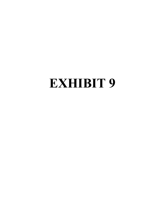# **EXHIBIT 9**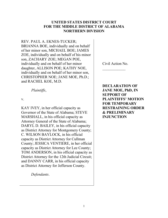#### **UNITED STATES DISTRICT COURT FOR THE MIDDLE DISTRICT OF ALABAMA NORTHERN DIVISION**

REV. PAUL A. EKNES-TUCKER; BRIANNA BOE, individually and on behalf of her minor son, MICHAEL BOE; JAMES ZOE, individually and on behalf of his minor son, ZACHARY ZOE; MEGAN POE, individually and on behalf of her minor daughter, ALLISON POE; KATHY NOE, individually and on behalf of her minor son, CHRISTOPHER NOE; JANE MOE, Ph.D.; and RACHEL KOE, M.D.

*Plaintiffs*,

v.

KAY IVEY, in her official capacity as Governor of the State of Alabama; STEVE MARSHALL, in his official capacity as Attorney General of the State of Alabama; DARYL D. BAILEY, in his official capacity as District Attorney for Montgomery County; C. WILSON BAYLOCK, in his official capacity as District Attorney for Cullman County; JESSICA VENTIERE, in her official capacity as District Attorney for Lee County; TOM ANDERSON, in his official capacity as District Attorney for the 12th Judicial Circuit; and DANNY CARR, in his official capacity as District Attorney for Jefferson County.

*Defendants*.

Civil Action No.  $\frac{1}{2}$ 

**DECLARATION OF JANE MOE, PhD, IN SUPPORT OF PLAINTIFFS' MOTION FOR TEMPORARY RESTRAINING ORDER & PRELIMINARY INJUNCTION**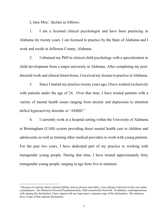I, Jane Moe, $<sup>1</sup>$  declare as follows:</sup>

1. I am a licensed clinical psychologist and have been practicing in Alabama for twenty years. I am licensed to practice by the State of Alabama and I work and reside in Jefferson County, Alabama.

2. I obtained my PhD in clinical child psychology with a specialization in child development from a major university in Alabama. After completing my postdoctoral work and clinical intern hours, I received my license to practice in Alabama.

3. Since I started my practice twenty years ago, I have worked exclusively with patients under the age of 24. Over that time, I have treated patients with a variety of mental health issues ranging from anxiety and depression to attention deficit hyperactivity disorder or "ADHD."

4. I currently work in a hospital setting within the University of Alabama at Birmingham (UAB) system providing direct mental health care to children and adolescents as well as training other medical providers to work with young patients. For the past two years, I have dedicated part of my practice to working with transgender young people. During that time, I have treated approximately forty transgender young people, ranging in age from five to nineteen.

<sup>1</sup> Because of concerns about criminal liability and my privacy and safety, I am seeking to proceed in this case under a pseudonym. See Motion to Proceed Pseudonymously, filed concurrently herewith. In addition, contemporaneous with signing this declaration, I have signed with my legal name a separate copy of this declaration. My attorneys have a copy of that separate declaration.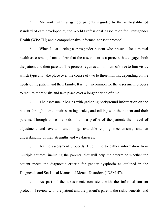5. My work with transgender patients is guided by the well-established standard of care developed by the World Professional Association for Transgender Health (WPATH) and a comprehensive informed-consent protocol.

6. When I start seeing a transgender patient who presents for a mental health assessment, I make clear that the assessment is a process that engages both the patient and their parents. The process requires a minimum of three to four visits, which typically take place over the course of two to three months, depending on the needs of the patient and their family. It is not uncommon for the assessment process to require more visits and take place over a longer period of time.

7. The assessment begins with gathering background information on the patient through questionnaires, rating scales, and talking with the patient and their parents. Through those methods I build a profile of the patient: their level of adjustment and overall functioning, available coping mechanisms, and an understanding of their strengths and weaknesses.

8. As the assessment proceeds, I continue to gather information from multiple sources, including the parents, that will help me determine whether the patient meets the diagnostic criteria for gender dysphoria as outlined in the Diagnostic and Statistical Manual of Mental Disorders ("DSM-5").

9. As part of the assessment, consistent with the informed-consent protocol, I review with the patient and the patient's parents the risks, benefits, and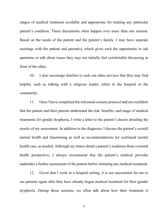ranges of medical treatment available and appropriate for treating any particular patient's condition. These discussions often happen over more than one session. Based on the needs of the patient and the patient's family, I may have separate meetings with the patient and parent(s), which gives each the opportunity to ask questions or talk about issues they may not initially feel comfortable discussing in front of the other.

10. I also encourage families to seek out other services that they may find helpful, such as talking with a religious leader, either in the hospital or the community.

11. Once I have completed the informed-consent protocol and am confident that the patient and their parents understand the risk, benefits, and range of medical treatments for gender dysphoria, I write a letter to the patient's doctor detailing the results of my assessment. In addition to the diagnosis, I discuss the patient's overall mental health and functioning as well as recommendations for continued mental health care, as needed. Although my letters detail a patient's readiness from a mental health perspective, I always recommend that the patient's medical provider undertake a further assessment of the patient before initiating any medical treatment.

12. Given that I work in a hospital setting, it is not uncommon for me to see patients again after they have already begun medical treatment for their gender dysphoria. During those sessions, we often talk about how their treatment is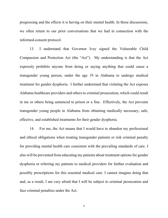progressing and the effects it is having on their mental health. In those discussions, we often return to our prior conversations that we had in connection with the informed-consent protocol.

13. I understand that Governor Ivey signed the Vulnerable Child Compassion and Protection Act (the "Act"). My understanding is that the Act expressly prohibits anyone from doing or saying anything that could cause a transgender young person, under the age 19 in Alabama to undergo medical treatment for gender dysphoria. I further understand that violating the Act exposes Alabama healthcare providers and others to criminal prosecution, which could result in me or others being sentenced to prison or a fine. Effectively, the Act prevents transgender young people in Alabama from obtaining medically necessary, safe, effective, and established treatments for their gender dysphoria.

14. For me, the Act means that I would have to abandon my professional and ethical obligations when treating transgender patients or risk criminal penalty for providing mental health care consistent with the prevailing standards of care. I also will be prevented from educating my patients about treatment options for gender dysphoria or referring my patients to medical providers for further evaluation and possibly prescriptions for this essential medical care. I cannot imagine doing that and, as a result, I am very afraid that I will be subject to criminal prosecution and face criminal penalties under the Act.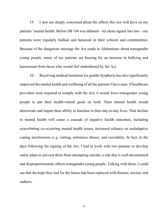15. I also am deeply concerned about the effects this law will have on my patients' mental health. Before SB 184 was debated—let alone signed into law—my patients were regularly bullied and harassed in their schools and communities. Because of the dangerous message the Act sends to Alabamians about transgender young people, many of my patients are bracing for an increase in bullying and harassment from those who would feel emboldened by the Act.

16. Receiving medical treatment for gender dysphoria has also significantly improved the mental health and wellbeing of all the patients I have seen. If healthcare providers were required to comply with the Act, it would force transgender young people to put their health-related goals on hold. Their mental health would deteriorate and impair their ability to function in their day-to-day lives. That decline in mental health will cause a cascade of negative health outcomes, including exacerbating co-occurring mental health issues, increased reliance on maladaptive coping mechanisms (*e.g.* cutting, substance abuse), and suicidality. In fact, in the days following the signing of the Act, I had to work with two patients to develop safety plans to prevent them from attempting suicide, a risk that is well-documented and disproportionately affects transgender young people. Talking with them, I could see that the hope they had for the future had been replaced with distress, anxiety and sadness.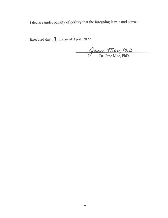I declare under penalty of perjury that the foregoing is true and correct.

Executed this  $19$  th day of April, 2022.

Jane Moe PhD<br>Dr. Jane Moe, PhD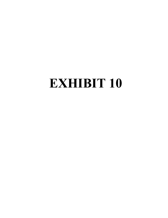### **EXHIBIT 10**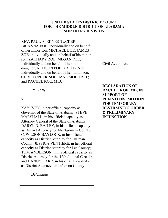#### **UNITED STATES DISTRICT COURT FOR THE MIDDLE DISTRICT OF ALABAMA NORTHERN DIVISION**

REV. PAUL A. EKNES-TUCKER; BRIANNA BOE, individually and on behalf of her minor son, MICHAEL BOE; JAMES ZOE, individually and on behalf of his minor son, ZACHARY ZOE; MEGAN POE, individually and on behalf of her minor daughter, ALLISON POE; KATHY NOE, individually and on behalf of her minor son, CHRISTOPHER NOE; JANE MOE, Ph.D.; and RACHEL KOE, M.D.

*Plaintiffs*,

v.

KAY IVEY, in her official capacity as Governor of the State of Alabama; STEVE MARSHALL, in his official capacity as Attorney General of the State of Alabama; DARYL D. BAILEY, in his official capacity as District Attorney for Montgomery County; C. WILSON BAYLOCK, in his official capacity as District Attorney for Cullman County; JESSICA VENTIERE, in her official capacity as District Attorney for Lee County; TOM ANDERSON, in his official capacity as District Attorney for the 12th Judicial Circuit; and DANNY CARR, in his official capacity as District Attorney for Jefferson County.

*Defendants*.

Civil Action No.  $\frac{1}{2}$ 

**DECLARATION OF RACHEL KOE, MD, IN SUPPORT OF PLAINTIFFS' MOTION FOR TEMPORARY RESTRAINING ORDER & PRELIMINARY INJUNCTION**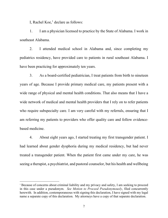I, Rachel Koe,<sup>1</sup> declare as follows:

1. I am a physician licensed to practice by the State of Alabama. I work in southeast Alabama.

2. I attended medical school in Alabama and, since completing my pediatrics residency, have provided care to patients in rural southeast Alabama. I have been practicing for approximately ten years.

3. As a board-certified pediatrician, I treat patients from birth to nineteen years of age. Because I provide primary medical care, my patients present with a wide range of physical and mental health conditions. That also means that I have a wide network of medical and mental health providers that I rely on to refer patients who require subspecialty care. I am very careful with my referrals, ensuring that I am referring my patients to providers who offer quality care and follow evidencebased medicine.

4. About eight years ago, I started treating my first transgender patient. I had learned about gender dysphoria during my medical residency, but had never treated a transgender patient. When the patient first came under my care, he was seeing a therapist, a psychiatrist, and pastoral counselor, but his health and wellbeing

<sup>&</sup>lt;sup>1</sup> Because of concerns about criminal liability and my privacy and safety, I am seeking to proceed in this case under a pseudonym. *See Motion to Proceed Pseudonymously*, filed concurrently herewith. In addition, contemporaneous with signing this declaration, I have signed with my legal name a separate copy of this declaration. My attorneys have a copy of that separate declaration.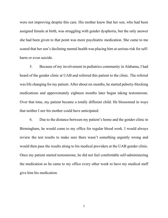were not improving despite this care. His mother knew that her son, who had been assigned female at birth, was struggling with gender dysphoria, but the only answer she had been given to that point was more psychiatric medication. She came to me scared that her son's declining mental health was placing him at serious risk for selfharm or even suicide.

5. Because of my involvement in pediatrics community in Alabama, I had heard of the gender clinic at UAB and referred this patient to the clinic. The referral was life changing for my patient. After about six months, he started puberty-blocking medications and approximately eighteen months later began taking testosterone. Over that time, my patient became a totally different child. He blossomed in ways that neither I nor his mother could have anticipated.

6. Due to the distance between my patient's home and the gender clinic in Birmingham, he would come to my office for regular blood work. I would always review the test results to make sure there wasn't something urgently wrong and would then pass the results along to his medical providers at the UAB gender clinic. Once my patient started testosterone, he did not feel comfortable self-administering the medication so he came to my office every other week to have my medical staff give him his medication.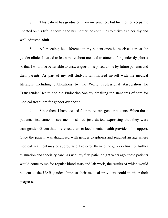7. This patient has graduated from my practice, but his mother keeps me updated on his life. According to his mother, he continues to thrive as a healthy and well-adjusted adult.

8. After seeing the difference in my patient once he received care at the gender clinic, I started to learn more about medical treatments for gender dysphoria so that I would be better able to answer questions posed to me by future patients and their parents. As part of my self-study, I familiarized myself with the medical literature including publications by the World Professional Association for Transgender Health and the Endocrine Society detailing the standards of care for medical treatment for gender dysphoria.

9. Since then, I have treated four more transgender patients. When those patients first came to see me, most had just started expressing that they were transgender. Given that, I referred them to local mental health providers for support. Once the patient was diagnosed with gender dysphoria and reached an age where medical treatment may be appropriate, I referred them to the gender clinic for further evaluation and specialty care. As with my first patient eight years ago, these patients would come to me for regular blood tests and lab work, the results of which would be sent to the UAB gender clinic so their medical providers could monitor their progress.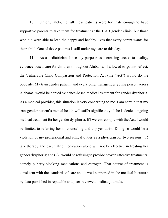10. Unfortunately, not all those patients were fortunate enough to have supportive parents to take them for treatment at the UAB gender clinic, but those who did were able to lead the happy and healthy lives that every parent wants for their child. One of those patients is still under my care to this day.

11. As a pediatrician, I see my purpose as increasing access to quality, evidence-based care for children throughout Alabama. If allowed to go into effect, the Vulnerable Child Compassion and Protection Act (the "Act") would do the opposite. My transgender patient, and every other transgender young person across Alabama, would be denied evidence-based medical treatment for gender dysphoria. As a medical provider, this situation is very concerning to me. I am certain that my transgender patient's mental health will suffer significantly if she is denied ongoing medical treatment for her gender dysphoria. If I were to comply with the Act, I would be limited to referring her to counseling and a psychiatrist. Doing so would be a violation of my professional and ethical duties as a physician for two reasons: (1) talk therapy and psychiatric medication alone will not be effective in treating her gender dysphoria; and (2) I would be refusing to provide proven effective treatments, namely puberty-blocking medications and estrogen. That course of treatment is consistent with the standards of care and is well-supported in the medical literature by data published in reputable and peer-reviewed medical journals.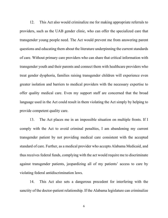12. This Act also would criminalize me for making appropriate referrals to providers, such as the UAB gender clinic, who can offer the specialized care that transgender young people need. The Act would prevent me from answering parent questions and educating them about the literature underpinning the current standards of care. Without primary care providers who can share that critical information with transgender youth and their parents and connect them with healthcare providers who treat gender dysphoria, families raising transgender children will experience even greater isolation and barriers to medical providers with the necessary expertise to offer quality medical care. Even my support staff are concerned that the broad language used in the Act could result in them violating the Act simply by helping to provide competent quality care.

13. The Act places me in an impossible situation on multiple fronts. If I comply with the Act to avoid criminal penalties, I am abandoning my current transgender patient by not providing medical care consistent with the accepted standard of care. Further, as a medical provider who accepts Alabama Medicaid, and thus receives federal funds, complying with the act would require me to discriminate against transgender patients, jeopardizing all of my patients' access to care by violating federal antidiscrimination laws.

14. This Act also sets a dangerous precedent for interfering with the sanctity of the doctor-patient relationship. If the Alabama legislature can criminalize